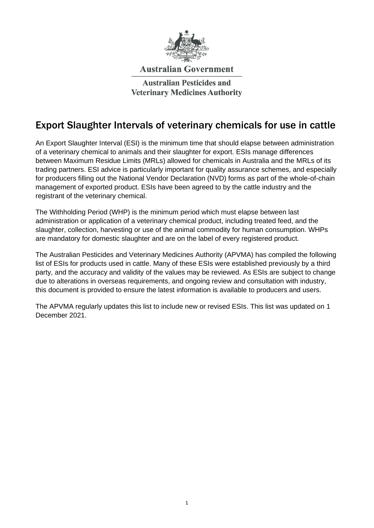

#### **Australian Government**

**Australian Pesticides and Veterinary Medicines Authority** 

#### Export Slaughter Intervals of veterinary chemicals for use in cattle

An Export Slaughter Interval (ESI) is the minimum time that should elapse between administration of a veterinary chemical to animals and their slaughter for export. ESIs manage differences between Maximum Residue Limits (MRLs) allowed for chemicals in Australia and the MRLs of its trading partners. ESI advice is particularly important for quality assurance schemes, and especially for producers filling out the National Vendor Declaration (NVD) forms as part of the whole-of-chain management of exported product. ESIs have been agreed to by the cattle industry and the registrant of the veterinary chemical.

The Withholding Period (WHP) is the minimum period which must elapse between last administration or application of a veterinary chemical product, including treated feed, and the slaughter, collection, harvesting or use of the animal commodity for human consumption. WHPs are mandatory for domestic slaughter and are on the label of every registered product.

The Australian Pesticides and Veterinary Medicines Authority (APVMA) has compiled the following list of ESIs for products used in cattle. Many of these ESIs were established previously by a third party, and the accuracy and validity of the values may be reviewed. As ESIs are subject to change due to alterations in overseas requirements, and ongoing review and consultation with industry, this document is provided to ensure the latest information is available to producers and users.

The APVMA regularly updates this list to include new or revised ESIs. This list was updated on 1 December 2021.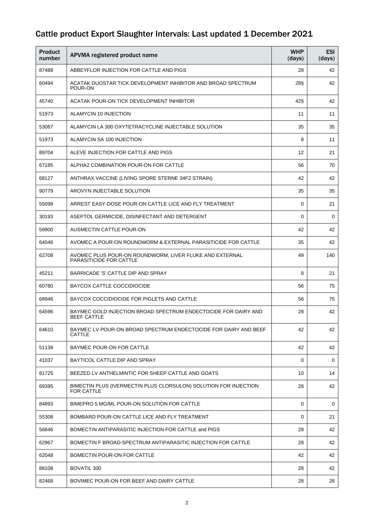| <b>Product</b><br>number | APVMA registered product name                                                        | <b>WHP</b><br>(days) | <b>ESI</b><br>(days) |
|--------------------------|--------------------------------------------------------------------------------------|----------------------|----------------------|
| 87488                    | ABBEYFLOR INJECTION FOR CATTLE AND PIGS                                              | 28                   | 42                   |
| 60494                    | ACATAK DUOSTAR TICK DEVELOPMENT INHIBITOR AND BROAD SPECTRUM<br>POUR-ON              | 28§                  | 42                   |
| 45740                    | ACATAK POUR-ON TICK DEVELOPMENT INHIBITOR                                            | 42§                  | 42                   |
| 51973                    | ALAMYCIN 10 INJECTION                                                                | 11                   | 11                   |
| 53087                    | ALAMYCIN LA 300 OXYTETRACYCLINE INJECTABLE SOLUTION                                  | 35                   | 35                   |
| 51973                    | ALAMYCIN SA 100 INJECTION                                                            | 8                    | 11                   |
| 89704                    | ALEVE INJECTION FOR CATTLE AND PIGS                                                  | 12                   | 21                   |
| 67185                    | ALPHA2 COMBINATION POUR-ON FOR CATTLE                                                | 56                   | 70                   |
| 68127                    | ANTHRAX VACCINE (LIVING SPORE STERNE 34F2 STRAIN)                                    | 42                   | 42                   |
| 90779                    | AROVYN INJECTABLE SOLUTION                                                           | 35                   | 35                   |
| 55098                    | ARREST EASY-DOSE POUR-ON CATTLE LICE AND FLY TREATMENT                               | $\Omega$             | 21                   |
| 30193                    | ASEPTOL GERMICIDE, DISINFECTANT AND DETERGENT                                        | $\Omega$             | 0                    |
| 59900                    | AUSMECTIN CATTLE POUR-ON                                                             | 42                   | 42                   |
| 64046                    | AVOMEC A POUR-ON ROUNDWORM & EXTERNAL PARASITICIDE FOR CATTLE                        | 35                   | 42                   |
| 62708                    | AVOMEC PLUS POUR-ON ROUNDWORM, LIVER FLUKE AND EXTERNAL<br>PARASITICIDE FOR CATTLE   | 49                   | 140                  |
| 45211                    | BARRICADE 'S' CATTLE DIP AND SPRAY                                                   | 8                    | 21                   |
| 60780                    | <b>BAYCOX CATTLE COCCIDIOCIDE</b>                                                    | 56                   | 75                   |
| 68946                    | BAYCOX COCCIDIOCIDE FOR PIGLETS AND CATTLE                                           | 56                   | 75                   |
| 64596                    | BAYMEC GOLD INJECTION BROAD SPECTRUM ENDECTOCIDE FOR DAIRY AND<br><b>BEEF CATTLE</b> | 28                   | 42                   |
| 64610                    | BAYMEC LV POUR-ON BROAD SPECTRUM ENDECTOCIDE FOR DAIRY AND BEEF<br>CATTLE            | 42                   | 42                   |
| 51138                    | BAYMEC POUR-ON FOR CATTLE                                                            | 42                   | 42                   |
| 41037                    | BAYTICOL CATTLE DIP AND SPRAY                                                        | 0                    | 0                    |
| 81725                    | BEEZED LV ANTHELMINTIC FOR SHEEP CATTLE AND GOATS                                    | 10                   | 14                   |
| 69395                    | BIMECTIN PLUS (IVERMECTIN PLUS CLORSULON) SOLUTION FOR INJECTION<br>FOR CATTLE       | 28                   | 42                   |
| 84893                    | BIMEPRO 5 MG/ML POUR-ON SOLUTION FOR CATTLE                                          | $\Omega$             | 0                    |
| 55308                    | BOMBARD POUR-ON CATTLE LICE AND FLY TREATMENT                                        | $\Omega$             | 21                   |
| 56846                    | BOMECTIN ANTIPARASITIC INJECTION FOR CATTLE and PIGS                                 | 28                   | 42                   |
| 62967                    | BOMECTIN F BROAD-SPECTRUM ANTIPARASITIC INJECTION FOR CATTLE                         | 28                   | 42                   |
| 62048                    | BOMECTIN POUR-ON FOR CATTLE                                                          | 42                   | 42                   |
| 88108                    | <b>BOVATIL 300</b>                                                                   | 28                   | 42                   |
| 82468                    | BOVIMEC POUR-ON FOR BEEF AND DAIRY CATTLE                                            | 28                   | 28                   |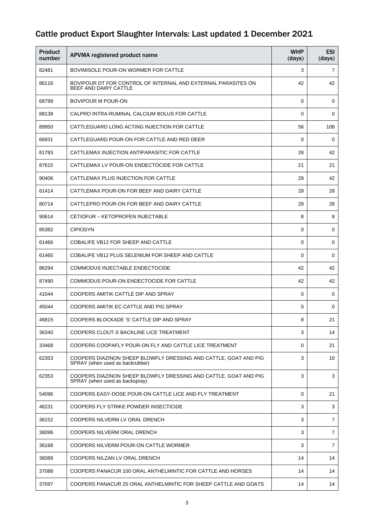| <b>Product</b><br>number | APVMA registered product name                                                                       | <b>WHP</b><br>(days) | <b>ESI</b><br>(days) |
|--------------------------|-----------------------------------------------------------------------------------------------------|----------------------|----------------------|
| 82481                    | BOVIMISOLE POUR-ON WORMER FOR CATTLE                                                                | 3                    | $\overline{7}$       |
| 86116                    | BOVIPOUR DT FOR CONTROL OF INTERNAL AND EXTERNAL PARASITES ON<br>BEEF AND DAIRY CATTLE              | 42                   | 42                   |
| 68799                    | <b>BOVIPOUR M POUR-ON</b>                                                                           | $\Omega$             | 0                    |
| 88138                    | CALPRO INTRA-RUMINAL CALCIUM BOLUS FOR CATTLE                                                       | $\Omega$             | 0                    |
| 89950                    | CATTLEGUARD LONG ACTING INJECTION FOR CATTLE                                                        | 56                   | 108                  |
| 66931                    | CATTLEGUARD POUR-ON FOR CATTLE AND RED DEER                                                         | 0                    | 0                    |
| 81783                    | CATTLEMAX INJECTION ANTIPARASITIC FOR CATTLE                                                        | 28                   | 42                   |
| 87615                    | CATTLEMAX LV POUR-ON ENDECTOCIDE FOR CATTLE                                                         | 21                   | 21                   |
| 90406                    | CATTLEMAX PLUS INJECTION FOR CATTLE                                                                 | 28                   | 42                   |
| 61414                    | CATTLEMAX POUR-ON FOR BEEF AND DAIRY CATTLE                                                         | 28                   | 28                   |
| 80714                    | CATTLEPRO POUR-ON FOR BEEF AND DAIRY CATTLE                                                         | 28                   | 28                   |
| 90614                    | CETIOFUR - KETOPROFEN INJECTABLE                                                                    | 8                    | 8                    |
| 85382                    | <b>CIPIOSYN</b>                                                                                     | 0                    | $\mathbf 0$          |
| 61466                    | <b>COBALIFE VB12 FOR SHEEP AND CATTLE</b>                                                           | $\Omega$             | 0                    |
| 61465                    | COBALIFE VB12 PLUS SELENIUM FOR SHEEP AND CATTLE                                                    | $\Omega$             | 0                    |
| 86294                    | COMMODUS INJECTABLE ENDECTOCIDE                                                                     | 42                   | 42                   |
| 87490                    | COMMODUS POUR-ON ENDECTOCIDE FOR CATTLE                                                             | 42                   | 42                   |
| 41044                    | COOPERS AMITIK CATTLE DIP AND SPRAY                                                                 | $\Omega$             | 0                    |
| 45044                    | COOPERS AMITIK EC CATTLE AND PIG SPRAY                                                              | 0                    | $\mathbf 0$          |
| 46815                    | COOPERS BLOCKADE 'S' CATTLE DIP AND SPRAY                                                           | 8                    | 21                   |
| 36340                    | COOPERS CLOUT-S BACKLINE LICE TREATMENT                                                             | 3                    | 14                   |
| 33468                    | COOPERS COOPAFLY POUR-ON FLY AND CATTLE LICE TREATMENT                                              | $\Omega$             | 21                   |
| 62353                    | COOPERS DIAZINON SHEEP BLOWFLY DRESSING AND CATTLE, GOAT AND PIG<br>SPRAY (when used as backrubber) | 3                    | 10                   |
| 62353                    | COOPERS DIAZINON SHEEP BLOWFLY DRESSING AND CATTLE, GOAT AND PIG<br>SPRAY (when used as backspray)  | 3                    | 3                    |
| 54096                    | COOPERS EASY-DOSE POUR-ON CATTLE LICE AND FLY TREATMENT                                             | $\Omega$             | 21                   |
| 46231                    | COOPERS FLY STRIKE POWDER INSECTICIDE                                                               | 3                    | 3                    |
| 36152                    | COOPERS NILVERM LV ORAL DRENCH                                                                      | 3                    | $\overline{7}$       |
| 36096                    | COOPERS NILVERM ORAL DRENCH                                                                         | 3                    | $\overline{7}$       |
| 36168                    | COOPERS NILVERM POUR-ON CATTLE WORMER                                                               | 3                    | $\overline{7}$       |
| 36089                    | COOPERS NILZAN LV ORAL DRENCH                                                                       | 14                   | 14                   |
| 37088                    | COOPERS PANACUR 100 ORAL ANTHELMINTIC FOR CATTLE AND HORSES                                         | 14                   | 14                   |
| 37097                    | COOPERS PANACUR 25 ORAL ANTHELMINTIC FOR SHEEP CATTLE AND GOATS                                     | 14                   | 14                   |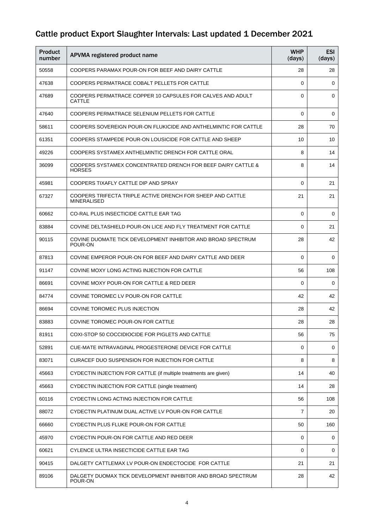| Product<br>number | APVMA registered product name                                                    | <b>WHP</b><br>(days) | <b>ESI</b><br>(days) |
|-------------------|----------------------------------------------------------------------------------|----------------------|----------------------|
| 50558             | COOPERS PARAMAX POUR-ON FOR BEEF AND DAIRY CATTLE                                | 28                   | 28                   |
| 47638             | COOPERS PERMATRACE COBALT PELLETS FOR CATTLE                                     | $\Omega$             | 0                    |
| 47689             | COOPERS PERMATRACE COPPER 10 CAPSULES FOR CALVES AND ADULT<br>CATTLE             | $\Omega$             | $\mathbf 0$          |
| 47640             | COOPERS PERMATRACE SELENIUM PELLETS FOR CATTLE                                   | $\Omega$             | 0                    |
| 58611             | COOPERS SOVEREIGN POUR-ON FLUKICIDE AND ANTHELMINTIC FOR CATTLE                  | 28                   | 70                   |
| 61351             | COOPERS STAMPEDE POUR-ON LOUSICIDE FOR CATTLE AND SHEEP                          | 10                   | 10                   |
| 49226             | COOPERS SYSTAMEX ANTHELMINTIC DRENCH FOR CATTLE ORAL                             | 8                    | 14                   |
| 36099             | COOPERS SYSTAMEX CONCENTRATED DRENCH FOR BEEF DAIRY CATTLE &<br><b>HORSES</b>    | 8                    | 14                   |
| 45981             | COOPERS TIXAFLY CATTLE DIP AND SPRAY                                             | $\Omega$             | 21                   |
| 67327             | COOPERS TRIFECTA TRIPLE ACTIVE DRENCH FOR SHEEP AND CATTLE<br><b>MINERALISED</b> | 21                   | 21                   |
| 60662             | CO-RAL PLUS INSECTICIDE CATTLE EAR TAG                                           | $\Omega$             | 0                    |
| 83884             | COVINE DELTASHIELD POUR-ON LICE AND FLY TREATMENT FOR CATTLE                     | $\Omega$             | 21                   |
| 90115             | COVINE DUOMATE TICK DEVELOPMENT INHIBITOR AND BROAD SPECTRUM<br>POUR-ON          | 28                   | 42                   |
| 87813             | COVINE EMPEROR POUR-ON FOR BEEF AND DAIRY CATTLE AND DEER                        | $\Omega$             | 0                    |
| 91147             | COVINE MOXY LONG ACTING INJECTION FOR CATTLE                                     | 56                   | 108                  |
| 86691             | COVINE MOXY POUR-ON FOR CATTLE & RED DEER                                        | $\Omega$             | 0                    |
| 84774             | COVINE TOROMEC LV POUR-ON FOR CATTLE                                             | 42                   | 42                   |
| 86694             | COVINE TOROMEC PLUS INJECTION                                                    | 28                   | 42                   |
| 83883             | COVINE TOROMEC POUR-ON FOR CATTLE                                                | 28                   | 28                   |
| 81911             | COXI-STOP 50 COCCIDIOCIDE FOR PIGLETS AND CATTLE                                 | 56                   | 75                   |
| 52891             | CUE-MATE INTRAVAGINAL PROGESTERONE DEVICE FOR CATTLE                             | $\Omega$             | 0                    |
| 83071             | CURACEF DUO SUSPENSION FOR INJECTION FOR CATTLE                                  | 8                    | 8                    |
| 45663             | CYDECTIN INJECTION FOR CATTLE (if multiple treatments are given)                 | 14                   | 40                   |
| 45663             | CYDECTIN INJECTION FOR CATTLE (single treatment)                                 | 14                   | 28                   |
| 60116             | CYDECTIN LONG ACTING INJECTION FOR CATTLE                                        | 56                   | 108                  |
| 88072             | CYDECTIN PLATINUM DUAL ACTIVE LV POUR-ON FOR CATTLE                              | $\overline{7}$       | 20                   |
| 66660             | CYDECTIN PLUS FLUKE POUR-ON FOR CATTLE                                           | 50                   | 160                  |
| 45970             | CYDECTIN POUR-ON FOR CATTLE AND RED DEER                                         | $\Omega$             | 0                    |
| 60621             | CYLENCE ULTRA INSECTICIDE CATTLE EAR TAG                                         | 0                    | 0                    |
| 90415             | DALGETY CATTLEMAX LV POUR-ON ENDECTOCIDE FOR CATTLE                              | 21                   | 21                   |
| 89106             | DALGETY DUOMAX TICK DEVELOPMENT INHIBITOR AND BROAD SPECTRUM<br>POUR-ON          | 28                   | 42                   |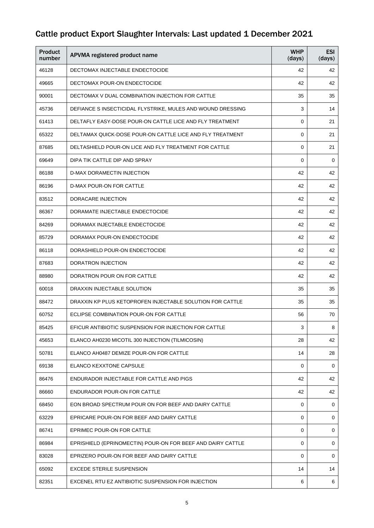| <b>Product</b><br>number | APVMA registered product name                               | <b>WHP</b><br>(days) | <b>ESI</b><br>(days) |
|--------------------------|-------------------------------------------------------------|----------------------|----------------------|
| 46128                    | DECTOMAX INJECTABLE ENDECTOCIDE                             | 42                   | 42                   |
| 49665                    | DECTOMAX POUR-ON ENDECTOCIDE                                | 42                   | 42                   |
| 90001                    | DECTOMAX V DUAL COMBINATION INJECTION FOR CATTLE            | 35                   | 35                   |
| 45736                    | DEFIANCE S INSECTICIDAL FLYSTRIKE, MULES AND WOUND DRESSING | 3                    | 14                   |
| 61413                    | DELTAFLY EASY-DOSE POUR-ON CATTLE LICE AND FLY TREATMENT    | $\Omega$             | 21                   |
| 65322                    | DELTAMAX QUICK-DOSE POUR-ON CATTLE LICE AND FLY TREATMENT   | $\Omega$             | 21                   |
| 87685                    | DELTASHIELD POUR-ON LICE AND FLY TREATMENT FOR CATTLE       | 0                    | 21                   |
| 69649                    | DIPA TIK CATTLE DIP AND SPRAY                               | 0                    | 0                    |
| 86188                    | D-MAX DORAMECTIN INJECTION                                  | 42                   | 42                   |
| 86196                    | D-MAX POUR-ON FOR CATTLE                                    | 42                   | 42                   |
| 83512                    | DORACARE INJECTION                                          | 42                   | 42                   |
| 86367                    | DORAMATE INJECTABLE ENDECTOCIDE                             | 42                   | 42                   |
| 84269                    | DORAMAX INJECTABLE ENDECTOCIDE                              | 42                   | 42                   |
| 85729                    | DORAMAX POUR-ON ENDECTOCIDE                                 | 42                   | 42                   |
| 86118                    | DORASHIELD POUR-ON ENDECTOCIDE                              | 42                   | 42                   |
| 87683                    | DORATRON INJECTION                                          | 42                   | 42                   |
| 88980                    | DORATRON POUR ON FOR CATTLE                                 | 42                   | 42                   |
| 60018                    | DRAXXIN INJECTABLE SOLUTION                                 | 35                   | 35                   |
| 88472                    | DRAXXIN KP PLUS KETOPROFEN INJECTABLE SOLUTION FOR CATTLE   | 35                   | 35                   |
| 60752                    | ECLIPSE COMBINATION POUR-ON FOR CATTLE                      | 56                   | 70                   |
| 85425                    | EFICUR ANTIBIOTIC SUSPENSION FOR INJECTION FOR CATTLE       | 3                    | 8                    |
| 45653                    | ELANCO AH0230 MICOTIL 300 INJECTION (TILMICOSIN)            | 28                   | 42                   |
| 50781                    | ELANCO AH0487 DEMIZE POUR-ON FOR CATTLE                     | 14                   | 28                   |
| 69138                    | <b>ELANCO KEXXTONE CAPSULE</b>                              | 0                    | 0                    |
| 86476                    | ENDURADOR INJECTABLE FOR CATTLE AND PIGS                    | 42                   | 42                   |
| 86660                    | ENDURADOR POUR-ON FOR CATTLE                                | 42                   | 42                   |
| 68450                    | EON BROAD SPECTRUM POUR ON FOR BEEF AND DAIRY CATTLE        | 0                    | 0                    |
| 63229                    | EPRICARE POUR-ON FOR BEEF AND DAIRY CATTLE                  | 0                    | 0                    |
| 86741                    | EPRIMEC POUR-ON FOR CATTLE                                  | $\Omega$             | 0                    |
| 86984                    | EPRISHIELD (EPRINOMECTIN) POUR-ON FOR BEEF AND DAIRY CATTLE | 0                    | 0                    |
| 83028                    | EPRIZERO POUR-ON FOR BEEF AND DAIRY CATTLE                  | $\Omega$             | 0                    |
| 65092                    | <b>EXCEDE STERILE SUSPENSION</b>                            | 14                   | 14                   |
| 82351                    | EXCENEL RTU EZ ANTIBIOTIC SUSPENSION FOR INJECTION          | 6                    | 6                    |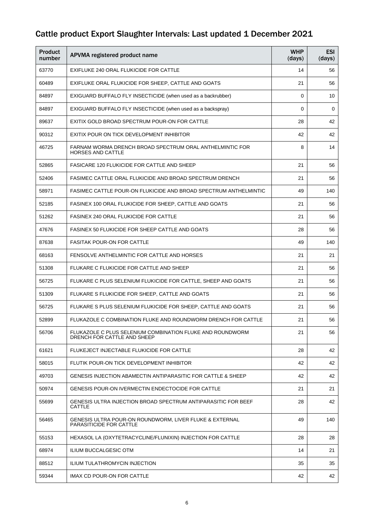| <b>Product</b><br>number | APVMA registered product name                                                            | <b>WHP</b><br>(days) | <b>ESI</b><br>(days) |
|--------------------------|------------------------------------------------------------------------------------------|----------------------|----------------------|
| 63770                    | EXIFLUKE 240 ORAL FLUKICIDE FOR CATTLE                                                   | 14                   | 56                   |
| 60489                    | EXIFLUKE ORAL FLUKICIDE FOR SHEEP, CATTLE AND GOATS                                      | 21                   | 56                   |
| 84897                    | EXIGUARD BUFFALO FLY INSECTICIDE (when used as a backrubber)                             | $\Omega$             | 10                   |
| 84897                    | EXIGUARD BUFFALO FLY INSECTICIDE (when used as a backspray)                              | 0                    | 0                    |
| 89637                    | EXITIX GOLD BROAD SPECTRUM POUR-ON FOR CATTLE                                            | 28                   | 42                   |
| 90312                    | EXITIX POUR ON TICK DEVELOPMENT INHIBITOR                                                | 42                   | 42                   |
| 46725                    | FARNAM WORMA DRENCH BROAD SPECTRUM ORAL ANTHELMINTIC FOR<br><b>HORSES AND CATTLE</b>     | 8                    | 14                   |
| 52865                    | <b>FASICARE 120 FLUKICIDE FOR CATTLE AND SHEEP</b>                                       | 21                   | 56                   |
| 52406                    | FASIMEC CATTLE ORAL FLUKICIDE AND BROAD SPECTRUM DRENCH                                  | 21                   | 56                   |
| 58971                    | FASIMEC CATTLE POUR-ON FLUKICIDE AND BROAD SPECTRUM ANTHELMINTIC                         | 49                   | 140                  |
| 52185                    | FASINEX 100 ORAL FLUKICIDE FOR SHEEP, CATTLE AND GOATS                                   | 21                   | 56                   |
| 51262                    | <b>FASINEX 240 ORAL FLUKICIDE FOR CATTLE</b>                                             | 21                   | 56                   |
| 47676                    | <b>FASINEX 50 FLUKICIDE FOR SHEEP CATTLE AND GOATS</b>                                   | 28                   | 56                   |
| 87638                    | <b>FASITAK POUR-ON FOR CATTLE</b>                                                        | 49                   | 140                  |
| 68163                    | FENSOLVE ANTHELMINTIC FOR CATTLE AND HORSES                                              | 21                   | 21                   |
| 51308                    | FLUKARE C FLUKICIDE FOR CATTLE AND SHEEP                                                 | 21                   | 56                   |
| 56725                    | FLUKARE C PLUS SELENIUM FLUKICIDE FOR CATTLE, SHEEP AND GOATS                            | 21                   | 56                   |
| 51309                    | FLUKARE S FLUKICIDE FOR SHEEP, CATTLE AND GOATS                                          | 21                   | 56                   |
| 56725                    | FLUKARE S PLUS SELENIUM FLUKICIDE FOR SHEEP, CATTLE AND GOATS                            | 21                   | 56                   |
| 52899                    | FLUKAZOLE C COMBINATION FLUKE AND ROUNDWORM DRENCH FOR CATTLE                            | 21                   | 56                   |
| 56706                    | FLUKAZOLE C PLUS SELENIUM COMBINATION FLUKE AND ROUNDWORM<br>DRENCH FOR CATTLE AND SHEEP | 21                   | 56                   |
| 61621                    | FLUKEJECT INJECTABLE FLUKICIDE FOR CATTLE                                                | 28                   | 42                   |
| 58015                    | FLUTIK POUR-ON TICK DEVELOPMENT INHIBITOR                                                | 42                   | 42                   |
| 49703                    | GENESIS INJECTION ABAMECTIN ANTIPARASITIC FOR CATTLE & SHEEP                             | 42                   | 42                   |
| 50974                    | <b>GENESIS POUR-ON IVERMECTIN ENDECTOCIDE FOR CATTLE</b>                                 | 21                   | 21                   |
| 55699                    | GENESIS ULTRA INJECTION BROAD SPECTRUM ANTIPARASITIC FOR BEEF<br><b>CATTLE</b>           | 28                   | 42                   |
| 56465                    | GENESIS ULTRA POUR-ON ROUNDWORM, LIVER FLUKE & EXTERNAL<br>PARASITICIDE FOR CATTLE       | 49                   | 140                  |
| 55153                    | HEXASOL LA (OXYTETRACYCLINE/FLUNIXIN) INJECTION FOR CATTLE                               | 28                   | 28                   |
| 68974                    | <b>ILIUM BUCCALGESIC OTM</b>                                                             | 14                   | 21                   |
| 88512                    | <b>ILIUM TULATHROMYCIN INJECTION</b>                                                     | 35                   | 35                   |
| 59344                    | IMAX CD POUR-ON FOR CATTLE                                                               | 42                   | 42                   |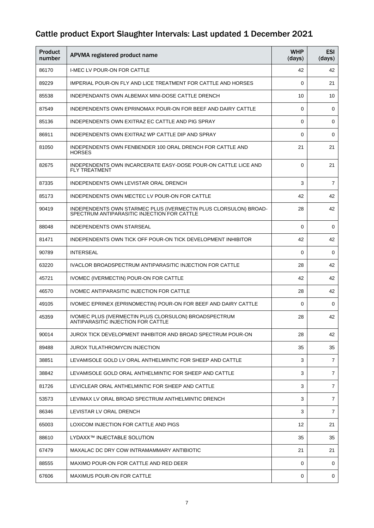| Product<br>number | APVMA registered product name                                                                                   | <b>WHP</b><br>(days) | <b>ESI</b><br>(days) |
|-------------------|-----------------------------------------------------------------------------------------------------------------|----------------------|----------------------|
| 86170             | <b>I-MEC LV POUR-ON FOR CATTLE</b>                                                                              | 42                   | 42                   |
| 89229             | IMPERIAL POUR-ON FLY AND LICE TREATMENT FOR CATTLE AND HORSES                                                   | $\Omega$             | 21                   |
| 85538             | INDEPENDANTS OWN ALBEMAX MINI-DOSE CATTLE DRENCH                                                                | 10                   | 10                   |
| 87549             | INDEPENDENTS OWN EPRINOMAX POUR-ON FOR BEEF AND DAIRY CATTLE                                                    | 0                    | 0                    |
| 85136             | INDEPENDENTS OWN EXITRAZ EC CATTLE AND PIG SPRAY                                                                | $\Omega$             | 0                    |
| 86911             | INDEPENDENTS OWN EXITRAZ WP CATTLE DIP AND SPRAY                                                                | $\Omega$             | 0                    |
| 81050             | INDEPENDENTS OWN FENBENDER 100 ORAL DRENCH FOR CATTLE AND<br><b>HORSES</b>                                      | 21                   | 21                   |
| 82675             | INDEPENDENTS OWN INCARCERATE EASY-DOSE POUR-ON CATTLE LICE AND<br><b>FLY TREATMENT</b>                          | $\Omega$             | 21                   |
| 87335             | INDEPENDENTS OWN LEVISTAR ORAL DRENCH                                                                           | 3                    | $\overline{7}$       |
| 85173             | INDEPENDENTS OWN MECTEC LV POUR-ON FOR CATTLE                                                                   | 42                   | 42                   |
| 90419             | INDEPENDENTS OWN STARMEC PLUS (IVERMECTIN PLUS CLORSULON) BROAD-<br>SPECTRUM ANTIPARASITIC INJECTION FOR CATTLE | 28                   | 42                   |
| 88048             | <b>INDEPENDENTS OWN STARSEAL</b>                                                                                | $\Omega$             | 0                    |
| 81471             | INDEPENDENTS OWN TICK OFF POUR-ON TICK DEVELOPMENT INHIBITOR                                                    | 42                   | 42                   |
| 90789             | <b>INTERSEAL</b>                                                                                                | $\Omega$             | 0                    |
| 63220             | IVACLOR BROADSPECTRUM ANTIPARASITIC INJECTION FOR CATTLE                                                        | 28                   | 42                   |
| 45721             | IVOMEC (IVERMECTIN) POUR-ON FOR CATTLE                                                                          | 42                   | 42                   |
| 46570             | IVOMEC ANTIPARASITIC INJECTION FOR CATTLE                                                                       | 28                   | 42                   |
| 49105             | IVOMEC EPRINEX (EPRINOMECTIN) POUR-ON FOR BEEF AND DAIRY CATTLE                                                 | $\Omega$             | 0                    |
| 45359             | IVOMEC PLUS (IVERMECTIN PLUS CLORSULON) BROADSPECTRUM<br>ANTIPARASITIC INJECTION FOR CATTLE                     | 28                   | 42                   |
| 90014             | JUROX TICK DEVELOPMENT INHIBITOR AND BROAD SPECTRUM POUR-ON                                                     | 28                   | 42                   |
| 89488             | <b>JUROX TULATHROMYCIN INJECTION</b>                                                                            | 35                   | 35                   |
| 38851             | LEVAMISOLE GOLD LV ORAL ANTHELMINTIC FOR SHEEP AND CATTLE                                                       | 3                    | $\overline{7}$       |
| 38842             | LEVAMISOLE GOLD ORAL ANTHELMINTIC FOR SHEEP AND CATTLE                                                          | 3                    | $\overline{7}$       |
| 81726             | LEVICLEAR ORAL ANTHELMINTIC FOR SHEEP AND CATTLE                                                                | 3                    | $\overline{7}$       |
| 53573             | LEVIMAX LV ORAL BROAD SPECTRUM ANTHELMINTIC DRENCH                                                              | 3                    | $\overline{7}$       |
| 86346             | LEVISTAR LV ORAL DRENCH                                                                                         | 3                    | 7                    |
| 65003             | LOXICOM INJECTION FOR CATTLE AND PIGS                                                                           | 12                   | 21                   |
| 88610             | LYDAXX™ INJECTABLE SOLUTION                                                                                     | 35                   | 35                   |
| 67479             | MAXALAC DC DRY COW INTRAMAMMARY ANTIBIOTIC                                                                      | 21                   | 21                   |
| 88555             | MAXIMO POUR-ON FOR CATTLE AND RED DEER                                                                          | 0                    | 0                    |
| 67606             | <b>MAXIMUS POUR-ON FOR CATTLE</b>                                                                               | 0                    | 0                    |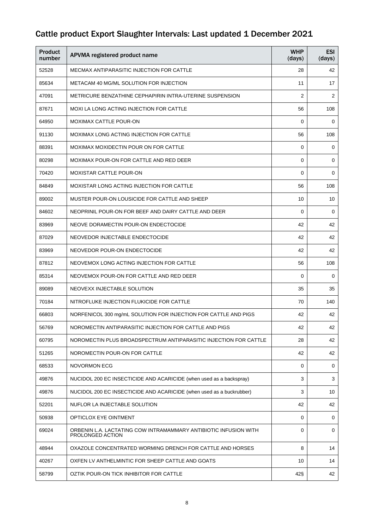| <b>Product</b><br>number | APVMA registered product name                                                        | <b>WHP</b><br>(days) | <b>ESI</b><br>(days) |
|--------------------------|--------------------------------------------------------------------------------------|----------------------|----------------------|
| 52528                    | MECMAX ANTIPARASITIC INJECTION FOR CATTLE                                            | 28                   | 42                   |
| 85634                    | METACAM 40 MG/ML SOLUTION FOR INJECTION                                              | 11                   | 17                   |
| 47091                    | METRICURE BENZATHINE CEPHAPIRIN INTRA-UTERINE SUSPENSION                             | 2                    | 2                    |
| 87671                    | MOXI LA LONG ACTING INJECTION FOR CATTLE                                             | 56                   | 108                  |
| 64950                    | <b>MOXIMAX CATTLE POUR-ON</b>                                                        | $\Omega$             | 0                    |
| 91130                    | MOXIMAX LONG ACTING INJECTION FOR CATTLE                                             | 56                   | 108                  |
| 88391                    | MOXIMAX MOXIDECTIN POUR ON FOR CATTLE                                                | 0                    | 0                    |
| 80298                    | MOXIMAX POUR-ON FOR CATTLE AND RED DEER                                              | $\Omega$             | 0                    |
| 70420                    | <b>MOXISTAR CATTLE POUR-ON</b>                                                       | $\Omega$             | 0                    |
| 84849                    | <b>MOXISTAR LONG ACTING INJECTION FOR CATTLE</b>                                     | 56                   | 108                  |
| 89002                    | MUSTER POUR-ON LOUSICIDE FOR CATTLE AND SHEEP                                        | 10                   | 10                   |
| 84602                    | NEOPRINIL POUR-ON FOR BEEF AND DAIRY CATTLE AND DEER                                 | $\Omega$             | 0                    |
| 83969                    | NEOVE DORAMECTIN POUR-ON ENDECTOCIDE                                                 | 42                   | 42                   |
| 87029                    | NEOVEDOR INJECTABLE ENDECTOCIDE                                                      | 42                   | 42                   |
| 83969                    | NEOVEDOR POUR-ON ENDECTOCIDE                                                         | 42                   | 42                   |
| 87812                    | NEOVEMOX LONG ACTING INJECTION FOR CATTLE                                            | 56                   | 108                  |
| 85314                    | NEOVEMOX POUR-ON FOR CATTLE AND RED DEER                                             | $\Omega$             | 0                    |
| 89089                    | NEOVEXX INJECTABLE SOLUTION                                                          | 35                   | 35                   |
| 70184                    | NITROFLUKE INJECTION FLUKICIDE FOR CATTLE                                            | 70                   | 140                  |
| 66803                    | NORFENICOL 300 mg/mL SOLUTION FOR INJECTION FOR CATTLE AND PIGS                      | 42                   | 42                   |
| 56769                    | NOROMECTIN ANTIPARASITIC INJECTION FOR CATTLE AND PIGS                               | 42                   | 42                   |
| 60795                    | NOROMECTIN PLUS BROADSPECTRUM ANTIPARASITIC INJECTION FOR CATTLE                     | 28                   | 42                   |
| 51265                    | NOROMECTIN POUR-ON FOR CATTLE                                                        | 42                   | 42                   |
| 68533                    | <b>NOVORMON ECG</b>                                                                  | $\Omega$             | 0                    |
| 49876                    | NUCIDOL 200 EC INSECTICIDE AND ACARICIDE (when used as a backspray)                  | 3                    | 3                    |
| 49876                    | NUCIDOL 200 EC INSECTICIDE AND ACARICIDE (when used as a buckrubber)                 | 3                    | 10                   |
| 52201                    | NUFLOR LA INJECTABLE SOLUTION                                                        | 42                   | 42                   |
| 50938                    | OPTICLOX EYE OINTMENT                                                                | $\Omega$             | 0                    |
| 69024                    | ORBENIN L.A. LACTATING COW INTRAMAMMARY ANTIBIOTIC INFUSION WITH<br>PROLONGED ACTION | $\Omega$             | 0                    |
| 48944                    | OXAZOLE CONCENTRATED WORMING DRENCH FOR CATTLE AND HORSES                            | 8                    | 14                   |
| 40267                    | OXFEN LV ANTHELMINTIC FOR SHEEP CATTLE AND GOATS                                     | 10                   | 14                   |
| 58799                    | OZTIK POUR-ON TICK INHIBITOR FOR CATTLE                                              | 42§                  | 42                   |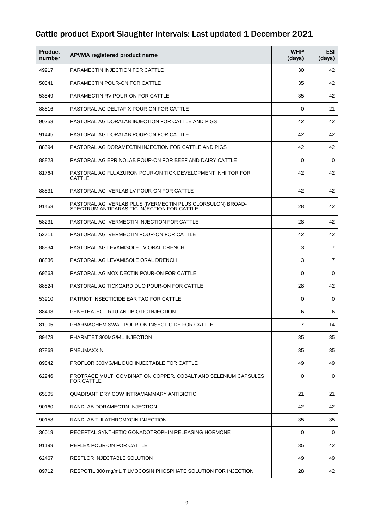| <b>Product</b><br>number | APVMA registered product name                                                                              | <b>WHP</b><br>(days) | <b>ESI</b><br>(days) |
|--------------------------|------------------------------------------------------------------------------------------------------------|----------------------|----------------------|
| 49917                    | <b>PARAMECTIN INJECTION FOR CATTLE</b>                                                                     | 30                   | 42                   |
| 50341                    | PARAMECTIN POUR-ON FOR CATTLE                                                                              | 35                   | 42                   |
| 53549                    | <b>PARAMECTIN RV POUR-ON FOR CATTLE</b>                                                                    | 35                   | 42                   |
| 88816                    | PASTORAL AG DELTAFIX POUR-ON FOR CATTLE                                                                    | $\Omega$             | 21                   |
| 90253                    | PASTORAL AG DORALAB INJECTION FOR CATTLE AND PIGS                                                          | 42                   | 42                   |
| 91445                    | PASTORAL AG DORALAB POUR-ON FOR CATTLE                                                                     | 42                   | 42                   |
| 88594                    | PASTORAL AG DORAMECTIN INJECTION FOR CATTLE AND PIGS                                                       | 42                   | 42                   |
| 88823                    | PASTORAL AG EPRINOLAB POUR-ON FOR BEEF AND DAIRY CATTLE                                                    | $\Omega$             | 0                    |
| 81764                    | PASTORAL AG FLUAZURON POUR-ON TICK DEVELOPMENT INHIITOR FOR<br><b>CATTLE</b>                               | 42                   | 42                   |
| 88831                    | PASTORAL AG IVERLAB LV POUR-ON FOR CATTLE                                                                  | 42                   | 42                   |
| 91453                    | PASTORAL AG IVERLAB PLUS (IVERMECTIN PLUS CLORSULON) BROAD-<br>SPECTRUM ANTIPARASITIC INJECTION FOR CATTLE | 28                   | 42                   |
| 58231                    | PASTORAL AG IVERMECTIN INJECTION FOR CATTLE                                                                | 28                   | 42                   |
| 52711                    | PASTORAL AG IVERMECTIN POUR-ON FOR CATTLE                                                                  | 42                   | 42                   |
| 88834                    | PASTORAL AG LEVAMISOLE LV ORAL DRENCH                                                                      | 3                    | 7                    |
| 88836                    | PASTORAL AG LEVAMISOLE ORAL DRENCH                                                                         | 3                    | 7                    |
| 69563                    | PASTORAL AG MOXIDECTIN POUR-ON FOR CATTLE                                                                  | $\Omega$             | 0                    |
| 88824                    | PASTORAL AG TICKGARD DUO POUR-ON FOR CATTLE                                                                | 28                   | 42                   |
| 53910                    | PATRIOT INSECTICIDE EAR TAG FOR CATTLE                                                                     | $\Omega$             | 0                    |
| 88498                    | PENETHAJECT RTU ANTIBIOTIC INJECTION                                                                       | 6                    | 6                    |
| 81905                    | PHARMACHEM SWAT POUR-ON INSECTICIDE FOR CATTLE                                                             | $\overline{7}$       | 14                   |
| 89473                    | PHARMTET 300MG/ML INJECTION                                                                                | 35                   | 35                   |
| 87868                    | PNEUMAXXIN                                                                                                 | 35                   | 35                   |
| 89842                    | PROFLOR 300MG/ML DUO INJECTABLE FOR CATTLE                                                                 | 49                   | 49                   |
| 62946                    | PROTRACE MULTI COMBINATION COPPER, COBALT AND SELENIUM CAPSULES<br>FOR CATTLE                              | 0                    | 0                    |
| 65805                    | QUADRANT DRY COW INTRAMAMMARY ANTIBIOTIC                                                                   | 21                   | 21                   |
| 90160                    | RANDLAB DORAMECTIN INJECTION                                                                               | 42                   | 42                   |
| 90158                    | RANDLAB TULATHROMYCIN INJECTION                                                                            | 35                   | 35                   |
| 36019                    | RECEPTAL SYNTHETIC GONADOTROPHIN RELEASING HORMONE                                                         | 0                    | 0                    |
| 91199                    | REFLEX POUR-ON FOR CATTLE                                                                                  | 35                   | 42                   |
| 62467                    | RESFLOR INJECTABLE SOLUTION                                                                                | 49                   | 49                   |
| 89712                    | RESPOTIL 300 mg/mL TILMOCOSIN PHOSPHATE SOLUTION FOR INJECTION                                             | 28                   | 42                   |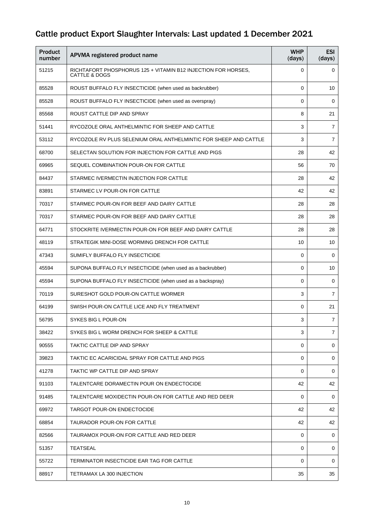| <b>Product</b><br>number | APVMA registered product name                                                  | <b>WHP</b><br>(days) | <b>ESI</b><br>(days) |
|--------------------------|--------------------------------------------------------------------------------|----------------------|----------------------|
| 51215                    | RICHTAFORT PHOSPHORUS 125 + VITAMIN B12 INJECTION FOR HORSES,<br>CATTLE & DOGS | $\Omega$             | 0                    |
| 85528                    | ROUST BUFFALO FLY INSECTICIDE (when used as backrubber)                        | $\Omega$             | 10                   |
| 85528                    | ROUST BUFFALO FLY INSECTICIDE (when used as overspray)                         | 0                    | 0                    |
| 85568                    | ROUST CATTLE DIP AND SPRAY                                                     | 8                    | 21                   |
| 51441                    | RYCOZOLE ORAL ANTHELMINTIC FOR SHEEP AND CATTLE                                | 3                    | 7                    |
| 53112                    | RYCOZOLE RV PLUS SELENIUM ORAL ANTHELMINTIC FOR SHEEP AND CATTLE               | 3                    | $\overline{7}$       |
| 68700                    | SELECTAN SOLUTION FOR INJECTION FOR CATTLE AND PIGS                            | 28                   | 42                   |
| 69965                    | SEQUEL COMBINATION POUR-ON FOR CATTLE                                          | 56                   | 70                   |
| 84437                    | STARMEC IVERMECTIN INJECTION FOR CATTLE                                        | 28                   | 42                   |
| 83891                    | STARMEC LV POUR-ON FOR CATTLE                                                  | 42                   | 42                   |
| 70317                    | STARMEC POUR-ON FOR BEEF AND DAIRY CATTLE                                      | 28                   | 28                   |
| 70317                    | STARMEC POUR-ON FOR BEEF AND DAIRY CATTLE                                      | 28                   | 28                   |
| 64771                    | STOCKRITE IVERMECTIN POUR-ON FOR BEEF AND DAIRY CATTLE                         | 28                   | 28                   |
| 48119                    | STRATEGIK MINI-DOSE WORMING DRENCH FOR CATTLE                                  | 10                   | 10                   |
| 47343                    | SUMIFLY BUFFALO FLY INSECTICIDE                                                | $\Omega$             | 0                    |
| 45594                    | SUPONA BUFFALO FLY INSECTICIDE (when used as a backrubber)                     | $\Omega$             | 10                   |
| 45594                    | SUPONA BUFFALO FLY INSECTICIDE (when used as a backspray)                      | $\Omega$             | 0                    |
| 70119                    | SURESHOT GOLD POUR-ON CATTLE WORMER                                            | 3                    | 7                    |
| 64199                    | SWISH POUR-ON CATTLE LICE AND FLY TREATMENT                                    | $\Omega$             | 21                   |
| 56795                    | SYKES BIG L POUR-ON                                                            | 3                    | $\overline{7}$       |
| 38422                    | SYKES BIG L WORM DRENCH FOR SHEEP & CATTLE                                     | 3                    | $\overline{7}$       |
| 90555                    | TAKTIC CATTLE DIP AND SPRAY                                                    | 0                    | 0                    |
| 39823                    | TAKTIC EC ACARICIDAL SPRAY FOR CATTLE AND PIGS                                 | $\Omega$             | 0                    |
| 41278                    | TAKTIC WP CATTLE DIP AND SPRAY                                                 | $\Omega$             | 0                    |
| 91103                    | TALENTCARE DORAMECTIN POUR ON ENDECTOCIDE                                      | 42                   | 42                   |
| 91485                    | TALENTCARE MOXIDECTIN POUR-ON FOR CATTLE AND RED DEER                          | $\Omega$             | 0                    |
| 69972                    | <b>TARGOT POUR-ON ENDECTOCIDE</b>                                              | 42                   | 42                   |
| 68854                    | TAURADOR POUR-ON FOR CATTLE                                                    | 42                   | 42                   |
| 82566                    | TAURAMOX POUR-ON FOR CATTLE AND RED DEER                                       | $\Omega$             | 0                    |
| 51357                    | <b>TEATSEAL</b>                                                                | 0                    | 0                    |
| 55722                    | TERMINATOR INSECTICIDE EAR TAG FOR CATTLE                                      | $\Omega$             | 0                    |
| 88917                    | TETRAMAX LA 300 INJECTION                                                      | 35                   | 35                   |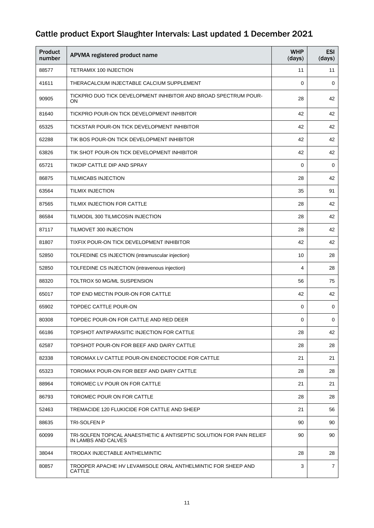| <b>Product</b><br>number | APVMA registered product name                                                               | <b>WHP</b><br>(days) | <b>ESI</b><br>(days) |
|--------------------------|---------------------------------------------------------------------------------------------|----------------------|----------------------|
| 88577                    | TETRAMIX 100 INJECTION                                                                      | 11                   | 11                   |
| 41611                    | THERACALCIUM INJECTABLE CALCIUM SUPPLEMENT                                                  | $\mathbf 0$          | $\mathbf 0$          |
| 90905                    | TICKPRO DUO TICK DEVELOPMENT INHIBITOR AND BROAD SPECTRUM POUR-<br>ON                       | 28                   | 42                   |
| 81640                    | TICKPRO POUR-ON TICK DEVELOPMENT INHIBITOR                                                  | 42                   | 42                   |
| 65325                    | TICKSTAR POUR-ON TICK DEVELOPMENT INHIBITOR                                                 | 42                   | 42                   |
| 62288                    | TIK BOS POUR-ON TICK DEVELOPMENT INHIBITOR                                                  | 42                   | 42                   |
| 63826                    | TIK SHOT POUR-ON TICK DEVELOPMENT INHIBITOR                                                 | 42                   | 42                   |
| 65721                    | TIKDIP CATTLE DIP AND SPRAY                                                                 | $\Omega$             | 0                    |
| 86875                    | <b>TILMICABS INJECTION</b>                                                                  | 28                   | 42                   |
| 63564                    | <b>TILMIX INJECTION</b>                                                                     | 35                   | 91                   |
| 87565                    | TILMIX INJECTION FOR CATTLE                                                                 | 28                   | 42                   |
| 86584                    | TILMODIL 300 TILMICOSIN INJECTION                                                           | 28                   | 42                   |
| 87117                    | TILMOVET 300 INJECTION                                                                      | 28                   | 42                   |
| 81807                    | TIXFIX POUR-ON TICK DEVELOPMENT INHIBITOR                                                   | 42                   | 42                   |
| 52850                    | TOLFEDINE CS INJECTION (intramuscular injection)                                            | 10                   | 28                   |
| 52850                    | TOLFEDINE CS INJECTION (intravenous injection)                                              | 4                    | 28                   |
| 88320                    | TOLTROX 50 MG/ML SUSPENSION                                                                 | 56                   | 75                   |
| 65017                    | TOP END MECTIN POUR-ON FOR CATTLE                                                           | 42                   | 42                   |
| 65902                    | TOPDEC CATTLE POUR-ON                                                                       | $\Omega$             | 0                    |
| 80308                    | TOPDEC POUR-ON FOR CATTLE AND RED DEER                                                      | 0                    | 0                    |
| 66186                    | TOPSHOT ANTIPARASITIC INJECTION FOR CATTLE                                                  | 28                   | 42                   |
| 62587                    | TOPSHOT POUR-ON FOR BEEF AND DAIRY CATTLE                                                   | 28                   | 28                   |
| 82338                    | TOROMAX LV CATTLE POUR-ON ENDECTOCIDE FOR CATTLE                                            | 21                   | 21                   |
| 65323                    | TOROMAX POUR-ON FOR BEEF AND DAIRY CATTLE                                                   | 28                   | 28                   |
| 88964                    | TOROMEC LV POUR ON FOR CATTLE                                                               | 21                   | 21                   |
| 86793                    | TOROMEC POUR ON FOR CATTLE                                                                  | 28                   | 28                   |
| 52463                    | TREMACIDE 120 FLUKICIDE FOR CATTLE AND SHEEP                                                | 21                   | 56                   |
| 88635                    | TRI-SOLFEN P                                                                                | 90                   | 90                   |
| 60099                    | TRI-SOLFEN TOPICAL ANAESTHETIC & ANTISEPTIC SOLUTION FOR PAIN RELIEF<br>IN LAMBS AND CALVES | 90                   | 90                   |
| 38044                    | TRODAX INJECTABLE ANTHELMINTIC                                                              | 28                   | 28                   |
| 80857                    | TROOPER APACHE HV LEVAMISOLE ORAL ANTHELMINTIC FOR SHEEP AND<br><b>CATTLE</b>               | 3                    | $\overline{7}$       |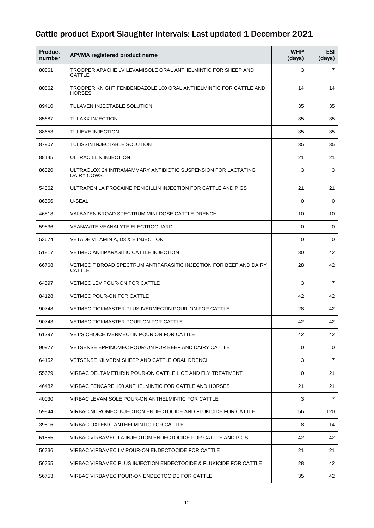| <b>Product</b><br>number | APVMA registered product name                                                      | <b>WHP</b><br>(days) | <b>ESI</b><br>(days) |
|--------------------------|------------------------------------------------------------------------------------|----------------------|----------------------|
| 80861                    | TROOPER APACHE LV LEVAMISOLE ORAL ANTHELMINTIC FOR SHEEP AND<br>CATTLE             | 3                    | $\overline{7}$       |
| 80862                    | TROOPER KNIGHT FENBENDAZOLE 100 ORAL ANTHELMINTIC FOR CATTLE AND<br><b>HORSES</b>  | 14                   | 14                   |
| 89410                    | TULAVEN INJECTABLE SOLUTION                                                        | 35                   | 35                   |
| 85687                    | TULAXX INJECTION                                                                   | 35                   | 35                   |
| 88653                    | <b>TULIEVE INJECTION</b>                                                           | 35                   | 35                   |
| 87907                    | TULISSIN INJECTABLE SOLUTION                                                       | 35                   | 35                   |
| 88145                    | ULTRACILLIN INJECTION                                                              | 21                   | 21                   |
| 86320                    | ULTRACLOX 24 INTRAMAMMARY ANTIBIOTIC SUSPENSION FOR LACTATING<br><b>DAIRY COWS</b> | 3                    | 3                    |
| 54362                    | ULTRAPEN LA PROCAINE PENICILLIN INJECTION FOR CATTLE AND PIGS                      | 21                   | 21                   |
| 86556                    | U-SEAL                                                                             | $\Omega$             | 0                    |
| 46818                    | VALBAZEN BROAD SPECTRUM MINI-DOSE CATTLE DRENCH                                    | 10                   | 10                   |
| 59836                    | <b>VEANAVITE VEANALYTE ELECTROGUARD</b>                                            | $\Omega$             | 0                    |
| 53674                    | VETADE VITAMIN A, D3 & E INJECTION                                                 | $\mathbf 0$          | 0                    |
| 51817                    | <b>VETMEC ANTIPARASITIC CATTLE INJECTION</b>                                       | 30                   | 42                   |
| 66768                    | VETMEC F BROAD SPECTRUM ANTIPARASITIC INJECTION FOR BEEF AND DAIRY<br>CATTLE       | 28                   | 42                   |
| 64597                    | <b>VETMEC LEV POUR-ON FOR CATTLE</b>                                               | 3                    | $\overline{7}$       |
| 84128                    | <b>VETMEC POUR-ON FOR CATTLE</b>                                                   | 42                   | 42                   |
| 90748                    | VETMEC TICKMASTER PLUS IVERMECTIN POUR-ON FOR CATTLE                               | 28                   | 42                   |
| 90743                    | VETMEC TICKMASTER POUR-ON FOR CATTLE                                               | 42                   | 42                   |
| 61297                    | VET'S CHOICE IVERMECTIN POUR ON FOR CATTLE                                         | 42                   | 42                   |
| 90977                    | VETSENSE EPRINOMEC POUR-ON FOR BEEF AND DAIRY CATTLE                               | $\Omega$             | 0                    |
| 64152                    | VETSENSE KILVERM SHEEP AND CATTLE ORAL DRENCH                                      | 3                    | $\overline{7}$       |
| 55679                    | VIRBAC DELTAMETHRIN POUR-ON CATTLE LICE AND FLY TREATMENT                          | 0                    | 21                   |
| 46482                    | VIRBAC FENCARE 100 ANTHELMINTIC FOR CATTLE AND HORSES                              | 21                   | 21                   |
| 40030                    | VIRBAC LEVAMISOLE POUR-ON ANTHELMINTIC FOR CATTLE                                  | 3                    | 7                    |
| 59844                    | VIRBAC NITROMEC INJECTION ENDECTOCIDE AND FLUKICIDE FOR CATTLE                     | 56                   | 120                  |
| 39816                    | VIRBAC OXFEN C ANTHELMINTIC FOR CATTLE                                             | 8                    | 14                   |
| 61555                    | VIRBAC VIRBAMEC LA INJECTION ENDECTOCIDE FOR CATTLE AND PIGS                       | 42                   | 42                   |
| 56736                    | VIRBAC VIRBAMEC LV POUR-ON ENDECTOCIDE FOR CATTLE                                  | 21                   | 21                   |
| 56755                    | VIRBAC VIRBAMEC PLUS INJECTION ENDECTOCIDE & FLUKICIDE FOR CATTLE                  | 28                   | 42                   |
| 56753                    | VIRBAC VIRBAMEC POUR-ON ENDECTOCIDE FOR CATTLE                                     | 35                   | 42                   |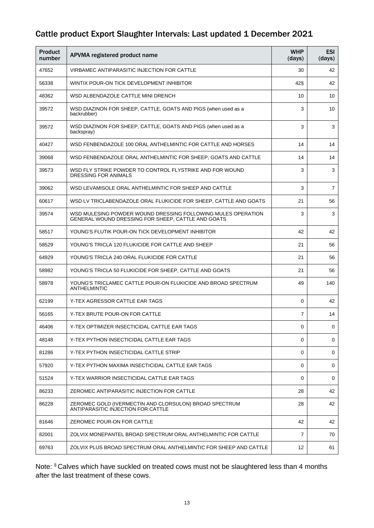| <b>Product</b><br>number | APVMA registered product name                                                                                      | <b>WHP</b><br>(days) | <b>ESI</b><br>(days) |
|--------------------------|--------------------------------------------------------------------------------------------------------------------|----------------------|----------------------|
| 47652                    | VIRBAMEC ANTIPARASITIC INJECTION FOR CATTLE                                                                        | 30                   | 42                   |
| 56338                    | WINTIX POUR-ON TICK DEVELOPMENT INHIBITOR                                                                          | 42§                  | 42                   |
| 48362                    | WSD ALBENDAZOLE CATTLE MINI DRENCH                                                                                 | 10                   | 10                   |
| 39572                    | WSD DIAZINON FOR SHEEP, CATTLE, GOATS AND PIGS (when used as a<br>backrubber)                                      | 3                    | 10                   |
| 39572                    | WSD DIAZINON FOR SHEEP, CATTLE, GOATS AND PIGS (when used as a<br>backspray)                                       | 3                    | 3                    |
| 40427                    | WSD FENBENDAZOLE 100 ORAL ANTHELMINTIC FOR CATTLE AND HORSES                                                       | 14                   | 14                   |
| 39068                    | WSD FENBENDAZOLE ORAL ANTHELMINTIC FOR SHEEP, GOATS AND CATTLE                                                     | 14                   | 14                   |
| 39573                    | WSD FLY STRIKE POWDER TO CONTROL FLYSTRIKE AND FOR WOUND<br>DRESSING FOR ANIMALS                                   | 3                    | 3                    |
| 39062                    | WSD LEVAMISOLE ORAL ANTHELMINTIC FOR SHEEP AND CATTLE                                                              | 3                    | $\overline{7}$       |
| 60617                    | WSD LV TRICLABENDAZOLE ORAL FLUKICIDE FOR SHEEP, CATTLE AND GOATS                                                  | 21                   | 56                   |
| 39574                    | WSD MULESING POWDER WOUND DRESSING FOLLOWING MULES OPERATION<br>GENERAL WOUND DRESSING FOR SHEEP, CATTLE AND GOATS | 3                    | 3                    |
| 58517                    | YOUNG'S FLUTIK POUR-ON TICK DEVELOPMENT INHIBITOR                                                                  | 42                   | 42                   |
| 58529                    | YOUNG'S TRICLA 120 FLUKICIDE FOR CATTLE AND SHEEP                                                                  | 21                   | 56                   |
| 64929                    | YOUNG'S TRICLA 240 ORAL FLUKICIDE FOR CATTLE                                                                       | 21                   | 56                   |
| 58982                    | YOUNG'S TRICLA 50 FLUKICIDE FOR SHEEP, CATTLE AND GOATS                                                            | 21                   | 56                   |
| 58978                    | YOUNG'S TRICLAMEC CATTLE POUR-ON FLUKICIDE AND BROAD SPECTRUM<br>ANTHELMINTIC                                      | 49                   | 140                  |
| 62199                    | Y-TEX AGRESSOR CATTLE EAR TAGS                                                                                     | $\Omega$             | 42                   |
| 56165                    | Y-TEX BRUTE POUR-ON FOR CATTLE                                                                                     | 7                    | 14                   |
| 46406                    | Y-TEX OPTIMIZER INSECTICIDAL CATTLE EAR TAGS                                                                       | 0                    | 0                    |
| 48148                    | Y-TEX PYTHON INSECTICIDAL CATTLE EAR TAGS                                                                          | 0                    | 0                    |
| 81286                    | Y-TEX PYTHON INSECTICIDAL CATTLE STRIP                                                                             | $\Omega$             | 0                    |
| 57920                    | Y-TEX PYTHON MAXIMA INSECTICIDAL CATTLE EAR TAGS                                                                   | $\Omega$             | 0                    |
| 51524                    | Y-TEX WARRIOR INSECTICIDAL CATTLE EAR TAGS                                                                         | $\Omega$             | 0                    |
| 86233                    | ZEROMEC ANTIPARASITIC INJECTION FOR CATTLE                                                                         | 28                   | 42                   |
| 86228                    | ZEROMEC GOLD (IVERMECTIN AND CLORSULON) BROAD SPECTRUM<br>ANTIPARASITIC INJECTION FOR CATTLE                       | 28                   | 42                   |
| 81646                    | ZEROMEC POUR-ON FOR CATTLE                                                                                         | 42                   | 42                   |
| 82001                    | ZOLVIX MONEPANTEL BROAD SPECTRUM ORAL ANTHELMINTIC FOR CATTLE                                                      | 7                    | 70                   |
| 69763                    | ZOLVIX PLUS BROAD SPECTRUM ORAL ANTHELMINTIC FOR SHEEP AND CATTLE                                                  | 12                   | 61                   |

Note: § Calves which have suckled on treated cows must not be slaughtered less than 4 months after the last treatment of these cows.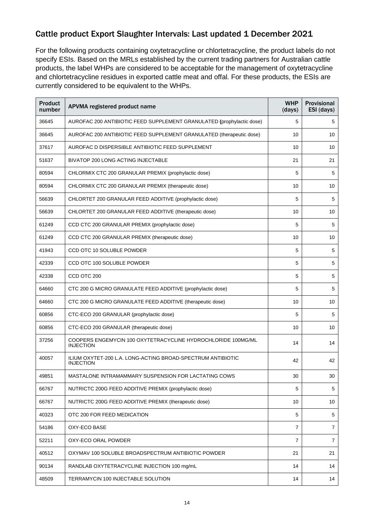For the following products containing oxytetracycline or chlortetracycline, the product labels do not specify ESIs. Based on the MRLs established by the current trading partners for Australian cattle products, the label WHPs are considered to be acceptable for the management of oxytetracycline and chlortetracycline residues in exported cattle meat and offal. For these products, the ESIs are currently considered to be equivalent to the WHPs.

| <b>Product</b><br>number | APVMA registered product name                                                    | <b>WHP</b><br>(days) | <b>Provisional</b><br>ESI (days) |
|--------------------------|----------------------------------------------------------------------------------|----------------------|----------------------------------|
| 36645                    | AUROFAC 200 ANTIBIOTIC FEED SUPPLEMENT GRANULATED (prophylactic dose)            | 5                    | 5                                |
| 36645                    | AUROFAC 200 ANTIBIOTIC FEED SUPPLEMENT GRANULATED (therapeutic dose)             | 10                   | 10                               |
| 37617                    | AUROFAC D DISPERSIBLE ANTIBIOTIC FEED SUPPLEMENT                                 | 10                   | 10                               |
| 51637                    | BIVATOP 200 LONG ACTING INJECTABLE                                               | 21                   | 21                               |
| 80594                    | CHLORMIX CTC 200 GRANULAR PREMIX (prophylactic dose)                             | 5                    | 5                                |
| 80594                    | CHLORMIX CTC 200 GRANULAR PREMIX (therapeutic dose)                              | 10                   | 10                               |
| 56639                    | CHLORTET 200 GRANULAR FEED ADDITIVE (prophylactic dose)                          | 5                    | 5                                |
| 56639                    | CHLORTET 200 GRANULAR FEED ADDITIVE (therapeutic dose)                           | 10                   | 10                               |
| 61249                    | CCD CTC 200 GRANULAR PREMIX (prophylactic dose)                                  | 5                    | 5                                |
| 61249                    | CCD CTC 200 GRANULAR PREMIX (therapeutic dose)                                   | 10                   | 10                               |
| 41943                    | CCD OTC 10 SOLUBLE POWDER                                                        | 5                    | 5                                |
| 42339                    | CCD OTC 100 SOLUBLE POWDER                                                       | 5                    | 5                                |
| 42338                    | CCD OTC 200                                                                      | 5                    | 5                                |
| 64660                    | CTC 200 G MICRO GRANULATE FEED ADDITIVE (prophylactic dose)                      | 5                    | 5                                |
| 64660                    | CTC 200 G MICRO GRANULATE FEED ADDITIVE (therapeutic dose)                       | 10                   | 10                               |
| 60856                    | CTC-ECO 200 GRANULAR (prophylactic dose)                                         | 5                    | 5                                |
| 60856                    | CTC-ECO 200 GRANULAR (therapeutic dose)                                          | 10                   | 10                               |
| 37256                    | COOPERS ENGEMYCIN 100 OXYTETRACYCLINE HYDROCHLORIDE 100MG/ML<br><b>INJECTION</b> | 14                   | 14                               |
| 40057                    | ILIUM OXYTET-200 L.A. LONG-ACTING BROAD-SPECTRUM ANTIBIOTIC<br><b>INJECTION</b>  | 42                   | 42                               |
| 49851                    | MASTALONE INTRAMAMMARY SUSPENSION FOR LACTATING COWS                             | 30                   | 30                               |
| 66767                    | NUTRICTC 200G FEED ADDITIVE PREMIX (prophylactic dose)                           | 5                    | $\,$ 5 $\,$                      |
| 66767                    | NUTRICTC 200G FEED ADDITIVE PREMIX (therapeutic dose)                            | 10                   | 10                               |
| 40323                    | OTC 200 FOR FEED MEDICATION                                                      | 5                    | 5                                |
| 54186                    | OXY-ECO BASE                                                                     | $\overline{7}$       | $\overline{7}$                   |
| 52211                    | OXY-ECO ORAL POWDER                                                              | 7                    | 7                                |
| 40512                    | OXYMAV 100 SOLUBLE BROADSPECTRUM ANTIBIOTIC POWDER                               | 21                   | 21                               |
| 90134                    | RANDLAB OXYTETRACYCLINE INJECTION 100 mg/mL                                      | 14                   | 14                               |
| 48509                    | TERRAMYCIN 100 INJECTABLE SOLUTION                                               | 14                   | 14                               |